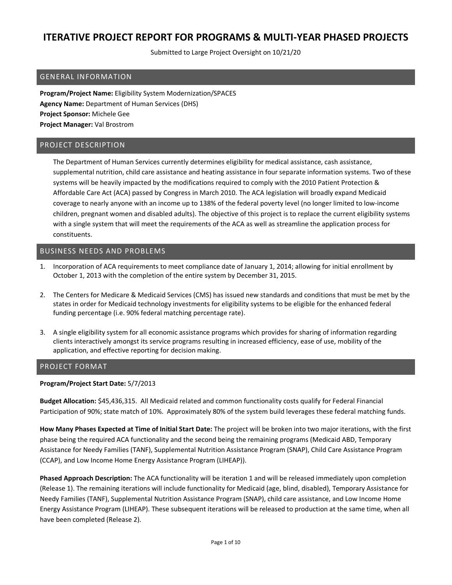Submitted to Large Project Oversight on 10/21/20

### GENERAL INFORMATION

**Program/Project Name:** Eligibility System Modernization/SPACES **Agency Name:** Department of Human Services (DHS) **Project Sponsor:** Michele Gee **Project Manager:** Val Brostrom

#### PROJECT DESCRIPTION

The Department of Human Services currently determines eligibility for medical assistance, cash assistance, supplemental nutrition, child care assistance and heating assistance in four separate information systems. Two of these systems will be heavily impacted by the modifications required to comply with the 2010 Patient Protection & Affordable Care Act (ACA) passed by Congress in March 2010. The ACA legislation will broadly expand Medicaid coverage to nearly anyone with an income up to 138% of the federal poverty level (no longer limited to low-income children, pregnant women and disabled adults). The objective of this project is to replace the current eligibility systems with a single system that will meet the requirements of the ACA as well as streamline the application process for constituents.

#### BUSINESS NEEDS AND PROBLEMS

- 1. Incorporation of ACA requirements to meet compliance date of January 1, 2014; allowing for initial enrollment by October 1, 2013 with the completion of the entire system by December 31, 2015.
- 2. The Centers for Medicare & Medicaid Services (CMS) has issued new standards and conditions that must be met by the states in order for Medicaid technology investments for eligibility systems to be eligible for the enhanced federal funding percentage (i.e. 90% federal matching percentage rate).
- 3. A single eligibility system for all economic assistance programs which provides for sharing of information regarding clients interactively amongst its service programs resulting in increased efficiency, ease of use, mobility of the application, and effective reporting for decision making.

#### PROJECT FORMAT

#### **Program/Project Start Date:** 5/7/2013

**Budget Allocation:** \$45,436,315. All Medicaid related and common functionality costs qualify for Federal Financial Participation of 90%; state match of 10%. Approximately 80% of the system build leverages these federal matching funds.

**How Many Phases Expected at Time of Initial Start Date:** The project will be broken into two major iterations, with the first phase being the required ACA functionality and the second being the remaining programs (Medicaid ABD, Temporary Assistance for Needy Families (TANF), Supplemental Nutrition Assistance Program (SNAP), Child Care Assistance Program (CCAP), and Low Income Home Energy Assistance Program (LIHEAP)).

**Phased Approach Description:** The ACA functionality will be iteration 1 and will be released immediately upon completion (Release 1). The remaining iterations will include functionality for Medicaid (age, blind, disabled), Temporary Assistance for Needy Families (TANF), Supplemental Nutrition Assistance Program (SNAP), child care assistance, and Low Income Home Energy Assistance Program (LIHEAP). These subsequent iterations will be released to production at the same time, when all have been completed (Release 2).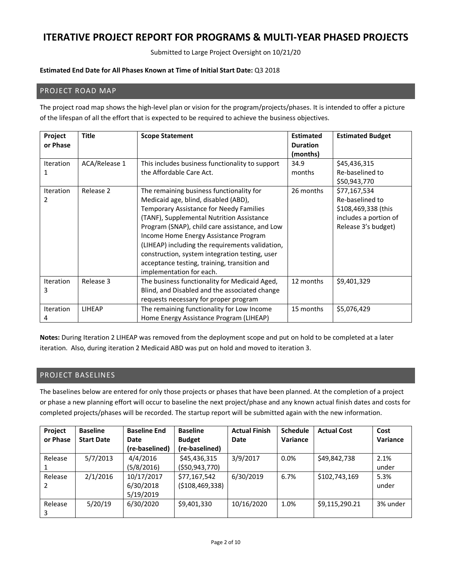Submitted to Large Project Oversight on 10/21/20

#### **Estimated End Date for All Phases Known at Time of Initial Start Date:** Q3 2018

### PROJECT ROAD MAP

The project road map shows the high-level plan or vision for the program/projects/phases. It is intended to offer a picture of the lifespan of all the effort that is expected to be required to achieve the business objectives.

| Project<br>or Phase   | Title         | <b>Scope Statement</b>                                                                                                                                                                                                                                                                                                                                                                                                                               | <b>Estimated</b><br><b>Duration</b><br>(months) | <b>Estimated Budget</b>                                                                                |
|-----------------------|---------------|------------------------------------------------------------------------------------------------------------------------------------------------------------------------------------------------------------------------------------------------------------------------------------------------------------------------------------------------------------------------------------------------------------------------------------------------------|-------------------------------------------------|--------------------------------------------------------------------------------------------------------|
| <b>Iteration</b>      | ACA/Release 1 | This includes business functionality to support<br>the Affordable Care Act.                                                                                                                                                                                                                                                                                                                                                                          | 34.9<br>months                                  | \$45,436,315<br>Re-baselined to<br>\$50,943,770                                                        |
| <b>Iteration</b><br>2 | Release 2     | The remaining business functionality for<br>Medicaid age, blind, disabled (ABD),<br>Temporary Assistance for Needy Families<br>(TANF), Supplemental Nutrition Assistance<br>Program (SNAP), child care assistance, and Low<br>Income Home Energy Assistance Program<br>(LIHEAP) including the requirements validation,<br>construction, system integration testing, user<br>acceptance testing, training, transition and<br>implementation for each. | 26 months                                       | \$77,167,534<br>Re-baselined to<br>\$108,469,338 (this<br>includes a portion of<br>Release 3's budget) |
| <b>Iteration</b><br>3 | Release 3     | The business functionality for Medicaid Aged,<br>Blind, and Disabled and the associated change<br>requests necessary for proper program                                                                                                                                                                                                                                                                                                              | 12 months                                       | \$9,401,329                                                                                            |
| Iteration<br>4        | <b>LIHEAP</b> | The remaining functionality for Low Income<br>Home Energy Assistance Program (LIHEAP)                                                                                                                                                                                                                                                                                                                                                                | 15 months                                       | \$5,076,429                                                                                            |

**Notes:** During Iteration 2 LIHEAP was removed from the deployment scope and put on hold to be completed at a later iteration. Also, during iteration 2 Medicaid ABD was put on hold and moved to iteration 3.

### PROJECT BASELINES

The baselines below are entered for only those projects or phases that have been planned. At the completion of a project or phase a new planning effort will occur to baseline the next project/phase and any known actual finish dates and costs for completed projects/phases will be recorded. The startup report will be submitted again with the new information.

| Project  | <b>Baseline</b>   | <b>Baseline End</b> | <b>Baseline</b>   | <b>Actual Finish</b> | <b>Schedule</b> | <b>Actual Cost</b> | Cost     |
|----------|-------------------|---------------------|-------------------|----------------------|-----------------|--------------------|----------|
| or Phase | <b>Start Date</b> | Date                | <b>Budget</b>     | Date                 | Variance        |                    | Variance |
|          |                   | (re-baselined)      | (re-baselined)    |                      |                 |                    |          |
| Release  | 5/7/2013          | 4/4/2016            | \$45,436,315      | 3/9/2017             | 0.0%            | \$49,842,738       | 2.1%     |
|          |                   | (5/8/2016)          | ( \$50, 943, 770) |                      |                 |                    | under    |
| Release  | 2/1/2016          | 10/17/2017          | \$77,167,542      | 6/30/2019            | 6.7%            | \$102,743,169      | 5.3%     |
| 2        |                   | 6/30/2018           | ( \$108,469,338)  |                      |                 |                    | under    |
|          |                   | 5/19/2019           |                   |                      |                 |                    |          |
| Release  | 5/20/19           | 6/30/2020           | \$9,401,330       | 10/16/2020           | 1.0%            | \$9,115,290.21     | 3% under |
| 3        |                   |                     |                   |                      |                 |                    |          |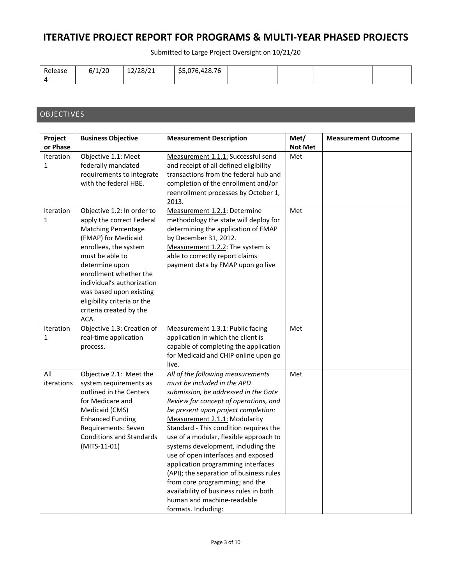Submitted to Large Project Oversight on 10/21/20

| Release | 6/1/20 | 12/28/21 | \$5,076,428.76 |  |  |
|---------|--------|----------|----------------|--|--|
|         |        |          |                |  |  |

### **OBJECTIVES**

| Project                          | <b>Business Objective</b>                                                                                                                                                                                                                                                                                                       | <b>Measurement Description</b>                                                                                                                                                                                                                                                                                                                                                                                                                                                                                                                                                                              | Met/           | <b>Measurement Outcome</b> |
|----------------------------------|---------------------------------------------------------------------------------------------------------------------------------------------------------------------------------------------------------------------------------------------------------------------------------------------------------------------------------|-------------------------------------------------------------------------------------------------------------------------------------------------------------------------------------------------------------------------------------------------------------------------------------------------------------------------------------------------------------------------------------------------------------------------------------------------------------------------------------------------------------------------------------------------------------------------------------------------------------|----------------|----------------------------|
| or Phase                         |                                                                                                                                                                                                                                                                                                                                 |                                                                                                                                                                                                                                                                                                                                                                                                                                                                                                                                                                                                             | <b>Not Met</b> |                            |
| <b>Iteration</b><br>$\mathbf{1}$ | Objective 1.1: Meet<br>federally mandated<br>requirements to integrate<br>with the federal HBE.                                                                                                                                                                                                                                 | Measurement 1.1.1: Successful send<br>and receipt of all defined eligibility<br>transactions from the federal hub and<br>completion of the enrollment and/or<br>reenrollment processes by October 1,<br>2013.                                                                                                                                                                                                                                                                                                                                                                                               | Met            |                            |
| Iteration<br>$\mathbf{1}$        | Objective 1.2: In order to<br>apply the correct Federal<br><b>Matching Percentage</b><br>(FMAP) for Medicaid<br>enrollees, the system<br>must be able to<br>determine upon<br>enrollment whether the<br>individual's authorization<br>was based upon existing<br>eligibility criteria or the<br>criteria created by the<br>ACA. | Measurement 1.2.1: Determine<br>methodology the state will deploy for<br>determining the application of FMAP<br>by December 31, 2012.<br>Measurement 1.2.2: The system is<br>able to correctly report claims<br>payment data by FMAP upon go live                                                                                                                                                                                                                                                                                                                                                           | Met            |                            |
| Iteration<br>$\mathbf{1}$        | Objective 1.3: Creation of<br>real-time application<br>process.                                                                                                                                                                                                                                                                 | Measurement 1.3.1: Public facing<br>application in which the client is<br>capable of completing the application<br>for Medicaid and CHIP online upon go<br>live.                                                                                                                                                                                                                                                                                                                                                                                                                                            | Met            |                            |
| All<br>iterations                | Objective 2.1: Meet the<br>system requirements as<br>outlined in the Centers<br>for Medicare and<br>Medicaid (CMS)<br><b>Enhanced Funding</b><br>Requirements: Seven<br><b>Conditions and Standards</b><br>(MITS-11-01)                                                                                                         | All of the following measurements<br>must be included in the APD<br>submission, be addressed in the Gate<br>Review for concept of operations, and<br>be present upon project completion:<br>Measurement 2.1.1: Modularity<br>Standard - This condition requires the<br>use of a modular, flexible approach to<br>systems development, including the<br>use of open interfaces and exposed<br>application programming interfaces<br>(API); the separation of business rules<br>from core programming; and the<br>availability of business rules in both<br>human and machine-readable<br>formats. Including: | Met            |                            |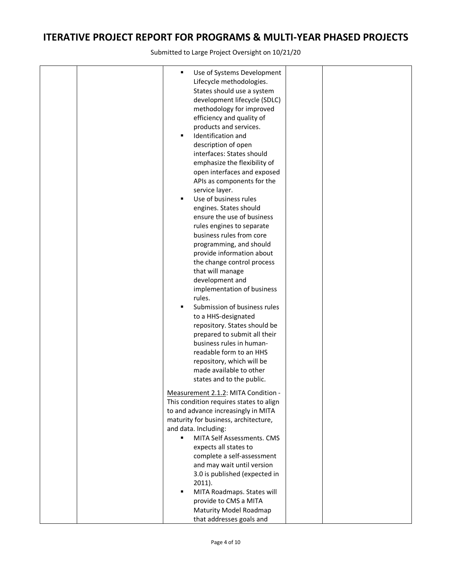|  | $\blacksquare$<br>Use of Systems Development<br>Lifecycle methodologies.<br>States should use a system<br>development lifecycle (SDLC)<br>methodology for improved<br>efficiency and quality of<br>products and services.<br>Identification and<br>$\blacksquare$<br>description of open<br>interfaces: States should<br>emphasize the flexibility of<br>open interfaces and exposed<br>APIs as components for the<br>service layer.<br>Use of business rules<br>٠<br>engines. States should<br>ensure the use of business<br>rules engines to separate<br>business rules from core<br>programming, and should<br>provide information about<br>the change control process<br>that will manage<br>development and<br>implementation of business<br>rules.<br>Submission of business rules<br>٠<br>to a HHS-designated<br>repository. States should be<br>prepared to submit all their<br>business rules in human-<br>readable form to an HHS<br>repository, which will be<br>made available to other<br>states and to the public.<br>Measurement 2.1.2: MITA Condition -<br>This condition requires states to align<br>to and advance increasingly in MITA<br>maturity for business, architecture,<br>and data. Including:<br>MITA Self Assessments. CMS<br>٠<br>expects all states to |  |
|--|---------------------------------------------------------------------------------------------------------------------------------------------------------------------------------------------------------------------------------------------------------------------------------------------------------------------------------------------------------------------------------------------------------------------------------------------------------------------------------------------------------------------------------------------------------------------------------------------------------------------------------------------------------------------------------------------------------------------------------------------------------------------------------------------------------------------------------------------------------------------------------------------------------------------------------------------------------------------------------------------------------------------------------------------------------------------------------------------------------------------------------------------------------------------------------------------------------------------------------------------------------------------------------------|--|
|  |                                                                                                                                                                                                                                                                                                                                                                                                                                                                                                                                                                                                                                                                                                                                                                                                                                                                                                                                                                                                                                                                                                                                                                                                                                                                                       |  |
|  |                                                                                                                                                                                                                                                                                                                                                                                                                                                                                                                                                                                                                                                                                                                                                                                                                                                                                                                                                                                                                                                                                                                                                                                                                                                                                       |  |
|  |                                                                                                                                                                                                                                                                                                                                                                                                                                                                                                                                                                                                                                                                                                                                                                                                                                                                                                                                                                                                                                                                                                                                                                                                                                                                                       |  |
|  | complete a self-assessment                                                                                                                                                                                                                                                                                                                                                                                                                                                                                                                                                                                                                                                                                                                                                                                                                                                                                                                                                                                                                                                                                                                                                                                                                                                            |  |
|  | and may wait until version<br>3.0 is published (expected in                                                                                                                                                                                                                                                                                                                                                                                                                                                                                                                                                                                                                                                                                                                                                                                                                                                                                                                                                                                                                                                                                                                                                                                                                           |  |
|  | $2011$ ).<br>MITA Roadmaps. States will<br>$\blacksquare$                                                                                                                                                                                                                                                                                                                                                                                                                                                                                                                                                                                                                                                                                                                                                                                                                                                                                                                                                                                                                                                                                                                                                                                                                             |  |
|  | provide to CMS a MITA                                                                                                                                                                                                                                                                                                                                                                                                                                                                                                                                                                                                                                                                                                                                                                                                                                                                                                                                                                                                                                                                                                                                                                                                                                                                 |  |
|  | Maturity Model Roadmap                                                                                                                                                                                                                                                                                                                                                                                                                                                                                                                                                                                                                                                                                                                                                                                                                                                                                                                                                                                                                                                                                                                                                                                                                                                                |  |
|  | that addresses goals and                                                                                                                                                                                                                                                                                                                                                                                                                                                                                                                                                                                                                                                                                                                                                                                                                                                                                                                                                                                                                                                                                                                                                                                                                                                              |  |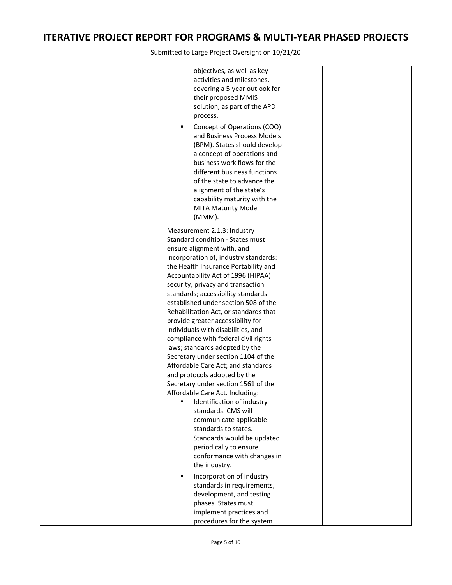|  | objectives, as well as key<br>activities and milestones,<br>covering a 5-year outlook for<br>their proposed MMIS<br>solution, as part of the APD<br>process.<br>Concept of Operations (COO)<br>٠<br>and Business Process Models<br>(BPM). States should develop<br>a concept of operations and<br>business work flows for the<br>different business functions<br>of the state to advance the<br>alignment of the state's<br>capability maturity with the<br><b>MITA Maturity Model</b><br>(MMM).                                                                                                                                                                                                                                                                                                                                    |  |
|--|-------------------------------------------------------------------------------------------------------------------------------------------------------------------------------------------------------------------------------------------------------------------------------------------------------------------------------------------------------------------------------------------------------------------------------------------------------------------------------------------------------------------------------------------------------------------------------------------------------------------------------------------------------------------------------------------------------------------------------------------------------------------------------------------------------------------------------------|--|
|  | Measurement 2.1.3: Industry<br>Standard condition - States must<br>ensure alignment with, and<br>incorporation of, industry standards:<br>the Health Insurance Portability and<br>Accountability Act of 1996 (HIPAA)<br>security, privacy and transaction<br>standards; accessibility standards<br>established under section 508 of the<br>Rehabilitation Act, or standards that<br>provide greater accessibility for<br>individuals with disabilities, and<br>compliance with federal civil rights<br>laws; standards adopted by the<br>Secretary under section 1104 of the<br>Affordable Care Act; and standards<br>and protocols adopted by the<br>Secretary under section 1561 of the<br>Affordable Care Act. Including:<br>Identification of industry<br>standards. CMS will<br>communicate applicable<br>standards to states. |  |
|  | Standards would be updated<br>periodically to ensure<br>conformance with changes in<br>the industry.<br>Incorporation of industry<br>٠<br>standards in requirements,<br>development, and testing<br>phases. States must<br>implement practices and<br>procedures for the system                                                                                                                                                                                                                                                                                                                                                                                                                                                                                                                                                     |  |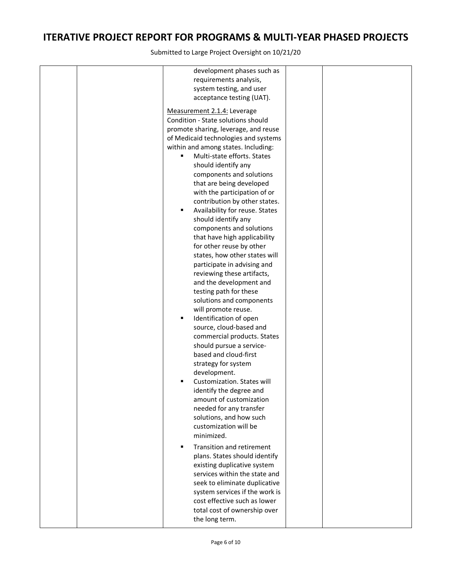|  | development phases such as                    |  |
|--|-----------------------------------------------|--|
|  | requirements analysis,                        |  |
|  | system testing, and user                      |  |
|  | acceptance testing (UAT).                     |  |
|  | Measurement 2.1.4: Leverage                   |  |
|  | Condition - State solutions should            |  |
|  | promote sharing, leverage, and reuse          |  |
|  | of Medicaid technologies and systems          |  |
|  | within and among states. Including:           |  |
|  | Multi-state efforts. States<br>$\blacksquare$ |  |
|  | should identify any                           |  |
|  | components and solutions                      |  |
|  | that are being developed                      |  |
|  | with the participation of or                  |  |
|  | contribution by other states.                 |  |
|  | Availability for reuse. States<br>٠           |  |
|  | should identify any                           |  |
|  | components and solutions                      |  |
|  | that have high applicability                  |  |
|  | for other reuse by other                      |  |
|  | states, how other states will                 |  |
|  | participate in advising and                   |  |
|  | reviewing these artifacts,                    |  |
|  | and the development and                       |  |
|  | testing path for these                        |  |
|  | solutions and components                      |  |
|  | will promote reuse.                           |  |
|  | Identification of open<br>٠                   |  |
|  | source, cloud-based and                       |  |
|  | commercial products. States                   |  |
|  | should pursue a service-                      |  |
|  | based and cloud-first                         |  |
|  | strategy for system                           |  |
|  | development.                                  |  |
|  | Customization. States will                    |  |
|  | identify the degree and                       |  |
|  | amount of customization                       |  |
|  | needed for any transfer                       |  |
|  | solutions, and how such                       |  |
|  | customization will be                         |  |
|  | minimized.                                    |  |
|  | Transition and retirement<br>٠                |  |
|  | plans. States should identify                 |  |
|  | existing duplicative system                   |  |
|  | services within the state and                 |  |
|  | seek to eliminate duplicative                 |  |
|  | system services if the work is                |  |
|  | cost effective such as lower                  |  |
|  | total cost of ownership over                  |  |
|  | the long term.                                |  |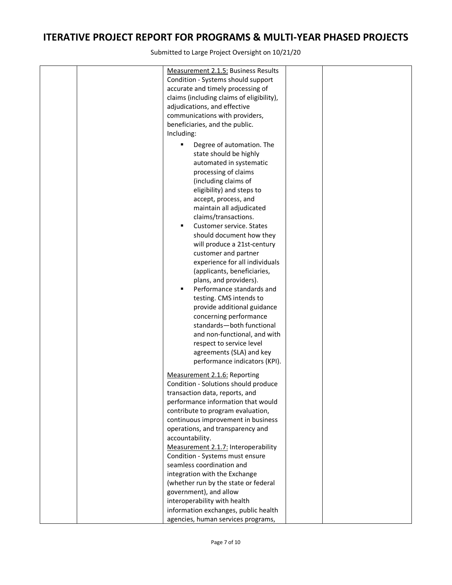| Measurement 2.1.5: Business Results                   |  |
|-------------------------------------------------------|--|
| Condition - Systems should support                    |  |
| accurate and timely processing of                     |  |
| claims (including claims of eligibility),             |  |
| adjudications, and effective                          |  |
| communications with providers,                        |  |
| beneficiaries, and the public.                        |  |
| Including:                                            |  |
| Degree of automation. The<br>٠                        |  |
| state should be highly                                |  |
| automated in systematic                               |  |
| processing of claims                                  |  |
| (including claims of                                  |  |
| eligibility) and steps to                             |  |
|                                                       |  |
| accept, process, and<br>maintain all adjudicated      |  |
| claims/transactions.                                  |  |
| Customer service. States<br>٠                         |  |
| should document how they                              |  |
| will produce a 21st-century                           |  |
| customer and partner                                  |  |
| experience for all individuals                        |  |
| (applicants, beneficiaries,                           |  |
|                                                       |  |
| plans, and providers).<br>Performance standards and   |  |
| testing. CMS intends to                               |  |
|                                                       |  |
| provide additional guidance<br>concerning performance |  |
| standards-both functional                             |  |
|                                                       |  |
| and non-functional, and with                          |  |
| respect to service level                              |  |
| agreements (SLA) and key                              |  |
| performance indicators (KPI).                         |  |
| Measurement 2.1.6: Reporting                          |  |
| Condition - Solutions should produce                  |  |
| transaction data, reports, and                        |  |
| performance information that would                    |  |
| contribute to program evaluation,                     |  |
| continuous improvement in business                    |  |
| operations, and transparency and                      |  |
| accountability.                                       |  |
| Measurement 2.1.7: Interoperability                   |  |
| Condition - Systems must ensure                       |  |
| seamless coordination and                             |  |
| integration with the Exchange                         |  |
| (whether run by the state or federal                  |  |
| government), and allow                                |  |
| interoperability with health                          |  |
| information exchanges, public health                  |  |
| agencies, human services programs,                    |  |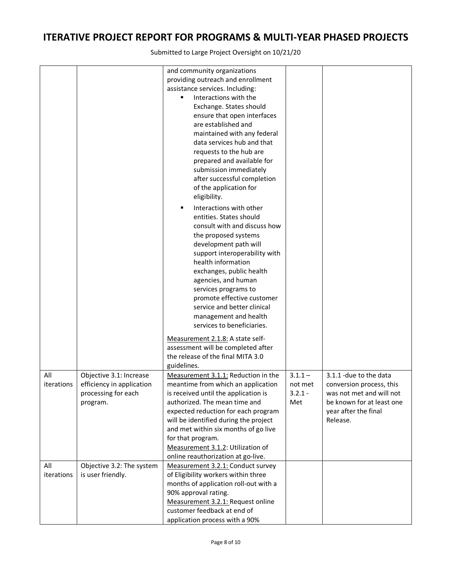|            |                           | and community organizations           |           |                           |
|------------|---------------------------|---------------------------------------|-----------|---------------------------|
|            |                           | providing outreach and enrollment     |           |                           |
|            |                           | assistance services. Including:       |           |                           |
|            |                           | Interactions with the<br>٠            |           |                           |
|            |                           | Exchange. States should               |           |                           |
|            |                           | ensure that open interfaces           |           |                           |
|            |                           | are established and                   |           |                           |
|            |                           | maintained with any federal           |           |                           |
|            |                           | data services hub and that            |           |                           |
|            |                           | requests to the hub are               |           |                           |
|            |                           | prepared and available for            |           |                           |
|            |                           | submission immediately                |           |                           |
|            |                           | after successful completion           |           |                           |
|            |                           | of the application for                |           |                           |
|            |                           | eligibility.                          |           |                           |
|            |                           |                                       |           |                           |
|            |                           | Interactions with other<br>Ξ          |           |                           |
|            |                           | entities. States should               |           |                           |
|            |                           | consult with and discuss how          |           |                           |
|            |                           | the proposed systems                  |           |                           |
|            |                           | development path will                 |           |                           |
|            |                           | support interoperability with         |           |                           |
|            |                           | health information                    |           |                           |
|            |                           | exchanges, public health              |           |                           |
|            |                           | agencies, and human                   |           |                           |
|            |                           | services programs to                  |           |                           |
|            |                           | promote effective customer            |           |                           |
|            |                           | service and better clinical           |           |                           |
|            |                           | management and health                 |           |                           |
|            |                           | services to beneficiaries.            |           |                           |
|            |                           | Measurement 2.1.8: A state self-      |           |                           |
|            |                           | assessment will be completed after    |           |                           |
|            |                           | the release of the final MITA 3.0     |           |                           |
|            |                           | guidelines.                           |           |                           |
| All        | Objective 3.1: Increase   | Measurement 3.1.1: Reduction in the   | $3.1.1 -$ | 3.1.1 -due to the data    |
| iterations | efficiency in application | meantime from which an application    | not met   | conversion process, this  |
|            | processing for each       | is received until the application is  | $3.2.1 -$ | was not met and will not  |
|            | program.                  | authorized. The mean time and         | Met       | be known for at least one |
|            |                           | expected reduction for each program   |           | year after the final      |
|            |                           | will be identified during the project |           | Release.                  |
|            |                           | and met within six months of go live  |           |                           |
|            |                           | for that program.                     |           |                           |
|            |                           | Measurement 3.1.2: Utilization of     |           |                           |
|            |                           | online reauthorization at go-live.    |           |                           |
| All        | Objective 3.2: The system | Measurement 3.2.1: Conduct survey     |           |                           |
| iterations | is user friendly.         | of Eligibility workers within three   |           |                           |
|            |                           | months of application roll-out with a |           |                           |
|            |                           | 90% approval rating.                  |           |                           |
|            |                           | Measurement 3.2.1: Request online     |           |                           |
|            |                           | customer feedback at end of           |           |                           |
|            |                           | application process with a 90%        |           |                           |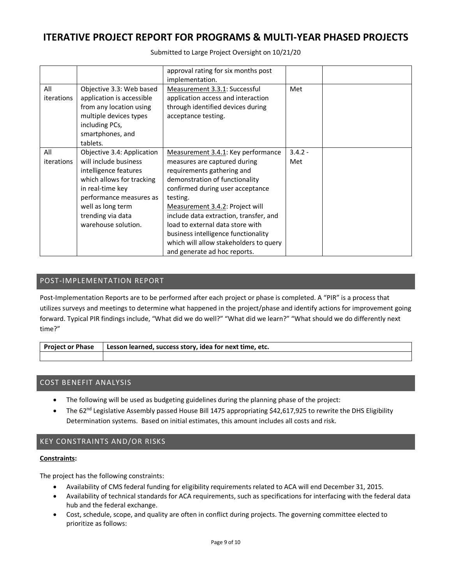Submitted to Large Project Oversight on 10/21/20

|                   |                                                                                                                                                                                                                           | approval rating for six months post<br>implementation.                                                                                                                                                                                                                                                                                                                                                               |                  |  |
|-------------------|---------------------------------------------------------------------------------------------------------------------------------------------------------------------------------------------------------------------------|----------------------------------------------------------------------------------------------------------------------------------------------------------------------------------------------------------------------------------------------------------------------------------------------------------------------------------------------------------------------------------------------------------------------|------------------|--|
| All<br>iterations | Objective 3.3: Web based<br>application is accessible<br>from any location using<br>multiple devices types<br>including PCs,<br>smartphones, and<br>tablets.                                                              | Measurement 3.3.1: Successful<br>application access and interaction<br>through identified devices during<br>acceptance testing.                                                                                                                                                                                                                                                                                      | Met              |  |
| All<br>iterations | Objective 3.4: Application<br>will include business<br>intelligence features<br>which allows for tracking<br>in real-time key<br>performance measures as<br>well as long term<br>trending via data<br>warehouse solution. | Measurement 3.4.1: Key performance<br>measures are captured during<br>requirements gathering and<br>demonstration of functionality<br>confirmed during user acceptance<br>testing.<br>Measurement 3.4.2: Project will<br>include data extraction, transfer, and<br>load to external data store with<br>business intelligence functionality<br>which will allow stakeholders to query<br>and generate ad hoc reports. | $3.4.2 -$<br>Met |  |

### POST-IMPLEMENTATION REPORT

Post-Implementation Reports are to be performed after each project or phase is completed. A "PIR" is a process that utilizes surveys and meetings to determine what happened in the project/phase and identify actions for improvement going forward. Typical PIR findings include, "What did we do well?" "What did we learn?" "What should we do differently next time?"

| <b>Project or Phase</b> | Lesson learned, success story, idea for next time, etc. |
|-------------------------|---------------------------------------------------------|
|                         |                                                         |

### COST BENEFIT ANALYSIS

- The following will be used as budgeting guidelines during the planning phase of the project:
- The 62<sup>nd</sup> Legislative Assembly passed House Bill 1475 appropriating \$42,617,925 to rewrite the DHS Eligibility Determination systems. Based on initial estimates, this amount includes all costs and risk.

### KEY CONSTRAINTS AND/OR RISKS

#### **Constraints:**

The project has the following constraints:

- Availability of CMS federal funding for eligibility requirements related to ACA will end December 31, 2015.
- Availability of technical standards for ACA requirements, such as specifications for interfacing with the federal data hub and the federal exchange.
- Cost, schedule, scope, and quality are often in conflict during projects. The governing committee elected to prioritize as follows: